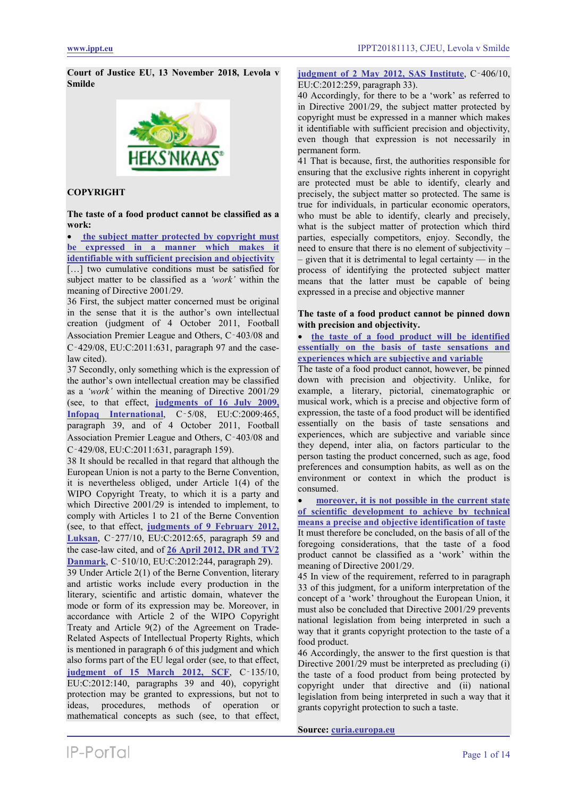**Court of Justice EU, 13 November 2018, Levola v Smilde**



# **COPYRIGHT**

**The taste of a food product cannot be classified as a work:**

• **[the subject matter protected by copyright must](#page-4-0)  [be expressed in a manner which makes it](#page-4-0)  [identifiable with sufficient precision and objectivity](#page-4-0)**

[...] two cumulative conditions must be satisfied for subject matter to be classified as a *'work'* within the meaning of Directive 2001/29.

36 First, the subject matter concerned must be original in the sense that it is the author's own intellectual creation (judgment of 4 October 2011, Football Association Premier League and Others, C‑403/08 and C‑429/08, EU:C:2011:631, paragraph 97 and the caselaw cited).

37 Secondly, only something which is the expression of the author's own intellectual creation may be classified as a *'work'* within the meaning of Directive 2001/29 (see, to that effect, **[judgments of 16 July 2009,](https://www.ippt.eu/sites/default/files/2009/IPPT20090716_ECJ_Infopaq_v_DDF.pdf)  [Infopaq International](https://www.ippt.eu/sites/default/files/2009/IPPT20090716_ECJ_Infopaq_v_DDF.pdf)**, C‑5/08, EU:C:2009:465, paragraph 39, and of 4 October 2011, Football Association Premier League and Others, C‑403/08 and C‑429/08, EU:C:2011:631, paragraph 159).

38 It should be recalled in that regard that although the European Union is not a party to the Berne Convention, it is nevertheless obliged, under Article 1(4) of the WIPO Copyright Treaty, to which it is a party and which Directive 2001/29 is intended to implement, to comply with Articles 1 to 21 of the Berne Convention (see, to that effect, **[judgments of 9 February 2012,](https://www.ippt.eu/sites/default/files/2012/IPPT20120209_ECJ_Luksan_v_van_der_Let.pdf)  [Luksan](https://www.ippt.eu/sites/default/files/2012/IPPT20120209_ECJ_Luksan_v_van_der_Let.pdf)**, C‑277/10, EU:C:2012:65, paragraph 59 and the case-law cited, and of **[26 April 2012, DR and TV2](https://www.ippt.eu/sites/default/files/2012/IPPT20120426_ECJ_TV2_Danmark_v_NRB.pdf)  [Danmark](https://www.ippt.eu/sites/default/files/2012/IPPT20120426_ECJ_TV2_Danmark_v_NRB.pdf)**, C‑510/10, EU:C:2012:244, paragraph 29).

39 Under Article 2(1) of the Berne Convention, literary and artistic works include every production in the literary, scientific and artistic domain, whatever the mode or form of its expression may be. Moreover, in accordance with Article 2 of the WIPO Copyright Treaty and Article 9(2) of the Agreement on Trade-Related Aspects of Intellectual Property Rights, which is mentioned in paragraph 6 of this judgment and which also forms part of the EU legal order (see, to that effect, **[judgment of 15 March 2012, SCF](https://www.ippt.eu/sites/default/files/2012/IPPT20120315_ECJ_SCF_v_Del_Corso.pdf)**, C‑135/10, EU:C:2012:140, paragraphs 39 and 40), copyright protection may be granted to expressions, but not to ideas, procedures, methods of operation or mathematical concepts as such (see, to that effect,

# **[judgment of 2 May 2012, SAS Institute](https://www.ippt.eu/sites/default/files/2012/IPPT20120502_ECJ_SAS_Institute_v_WPL.pdf)**, C‑406/10, EU:C:2012:259, paragraph 33).

40 Accordingly, for there to be a 'work' as referred to in Directive 2001/29, the subject matter protected by copyright must be expressed in a manner which makes it identifiable with sufficient precision and objectivity, even though that expression is not necessarily in permanent form.

41 That is because, first, the authorities responsible for ensuring that the exclusive rights inherent in copyright are protected must be able to identify, clearly and precisely, the subject matter so protected. The same is true for individuals, in particular economic operators, who must be able to identify, clearly and precisely, what is the subject matter of protection which third parties, especially competitors, enjoy. Secondly, the need to ensure that there is no element of subjectivity –  $-$  given that it is detrimental to legal certainty  $-$  in the process of identifying the protected subject matter means that the latter must be capable of being expressed in a precise and objective manner

# **The taste of a food product cannot be pinned down with precision and objectivity.**

• **[the taste of a food product will be identified](#page-5-0)  [essentially on the basis of taste sensations and](#page-5-0)  [experiences which are subjective and variable](#page-5-0)**

The taste of a food product cannot, however, be pinned down with precision and objectivity. Unlike, for example, a literary, pictorial, cinematographic or musical work, which is a precise and objective form of expression, the taste of a food product will be identified essentially on the basis of taste sensations and experiences, which are subjective and variable since they depend, inter alia, on factors particular to the person tasting the product concerned, such as age, food preferences and consumption habits, as well as on the environment or context in which the product is consumed.

• **moreover, it [is not possible in the current state](#page-5-1)  [of scientific development to achieve by technical](#page-5-1)  means a precise and [objective identification of taste](#page-5-1)**

It must therefore be concluded, on the basis of all of the foregoing considerations, that the taste of a food product cannot be classified as a 'work' within the meaning of Directive 2001/29.

45 In view of the requirement, referred to in paragraph 33 of this judgment, for a uniform interpretation of the concept of a 'work' throughout the European Union, it must also be concluded that Directive 2001/29 prevents national legislation from being interpreted in such a way that it grants copyright protection to the taste of a food product.

46 Accordingly, the answer to the first question is that Directive 2001/29 must be interpreted as precluding (i) the taste of a food product from being protected by copyright under that directive and (ii) national legislation from being interpreted in such a way that it grants copyright protection to such a taste.

**Source: [curia.europa.eu](http://curia.europa.eu/juris/document/document.jsf?docid=207682&text=&dir=&doclang=EN&part=1&occ=first&mode=lst&pageIndex=0&cid=2287888)**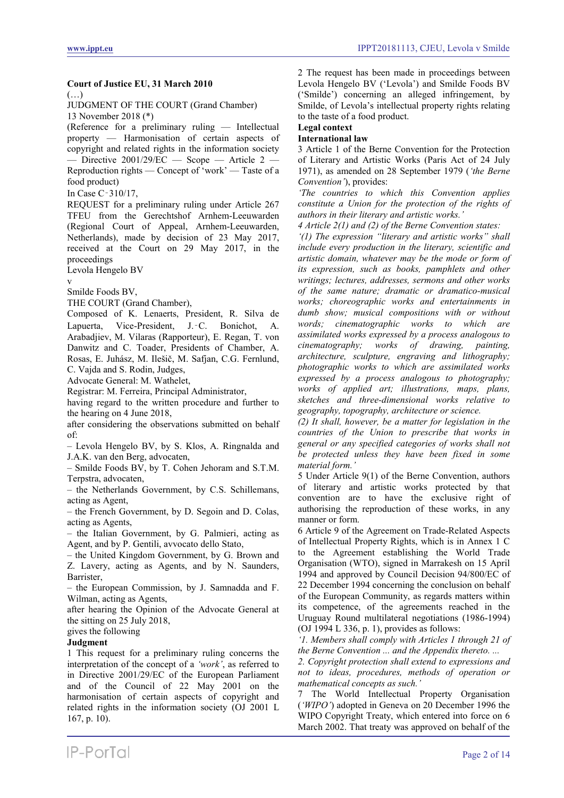# **Court of Justice EU, 31 March 2010**

(…)

JUDGMENT OF THE COURT (Grand Chamber) 13 November 2018 (\*)

(Reference for a preliminary ruling — Intellectual property — Harmonisation of certain aspects of copyright and related rights in the information society — Directive 2001/29/EC — Scope — Article 2 — Reproduction rights — Concept of 'work' — Taste of a food product)

In Case C‑310/17,

REQUEST for a preliminary ruling under Article 267 TFEU from the Gerechtshof Arnhem-Leeuwarden (Regional Court of Appeal, Arnhem-Leeuwarden, Netherlands), made by decision of 23 May 2017, received at the Court on 29 May 2017, in the proceedings

Levola Hengelo BV

v

Smilde Foods BV,

THE COURT (Grand Chamber),

Composed of K. Lenaerts, President, R. Silva de Lapuerta, Vice-President, J.‑C. Bonichot, A. Arabadjiev, M. Vilaras (Rapporteur), E. Regan, T. von Danwitz and C. Toader, Presidents of Chamber, A. Rosas, E. Juhász, M. Ilešič, M. Safjan, C.G. Fernlund,

C. Vajda and S. Rodin, Judges, Advocate General: M. Wathelet,

Registrar: M. Ferreira, Principal Administrator,

having regard to the written procedure and further to the hearing on 4 June 2018,

after considering the observations submitted on behalf of:

– Levola Hengelo BV, by S. Klos, A. Ringnalda and J.A.K. van den Berg, advocaten,

– Smilde Foods BV, by T. Cohen Jehoram and S.T.M. Terpstra, advocaten,

– the Netherlands Government, by C.S. Schillemans, acting as Agent,

– the French Government, by D. Segoin and D. Colas, acting as Agents,

– the Italian Government, by G. Palmieri, acting as Agent, and by P. Gentili, avvocato dello Stato,

– the United Kingdom Government, by G. Brown and Z. Lavery, acting as Agents, and by N. Saunders, Barrister,

– the European Commission, by J. Samnadda and F. Wilman, acting as Agents,

after hearing the Opinion of the Advocate General at the sitting on 25 July 2018,

gives the following

# **Judgment**

1 This request for a preliminary ruling concerns the interpretation of the concept of a *'work'*, as referred to in Directive 2001/29/EC of the European Parliament and of the Council of 22 May 2001 on the harmonisation of certain aspects of copyright and related rights in the information society (OJ 2001 L 167, p. 10).

2 The request has been made in proceedings between Levola Hengelo BV ('Levola') and Smilde Foods BV ('Smilde') concerning an alleged infringement, by Smilde, of Levola's intellectual property rights relating to the taste of a food product.

# **Legal context**

# **International law**

3 Article 1 of the Berne Convention for the Protection of Literary and Artistic Works (Paris Act of 24 July 1971), as amended on 28 September 1979 (*'the Berne Convention'*), provides:

*'The countries to which this Convention applies constitute a Union for the protection of the rights of authors in their literary and artistic works.'*

*4 Article 2(1) and (2) of the Berne Convention states: '(1) The expression "literary and artistic works" shall include every production in the literary, scientific and artistic domain, whatever may be the mode or form of its expression, such as books, pamphlets and other writings; lectures, addresses, sermons and other works of the same nature; dramatic or dramatico-musical works; choreographic works and entertainments in dumb show; musical compositions with or without words; cinematographic works to which are assimilated works expressed by a process analogous to cinematography; works of drawing, painting, architecture, sculpture, engraving and lithography; photographic works to which are assimilated works expressed by a process analogous to photography;* 

*works of applied art; illustrations, maps, plans, sketches and three-dimensional works relative to geography, topography, architecture or science.*

*(2) It shall, however, be a matter for legislation in the countries of the Union to prescribe that works in general or any specified categories of works shall not be protected unless they have been fixed in some material form.'*

5 Under Article 9(1) of the Berne Convention, authors of literary and artistic works protected by that convention are to have the exclusive right of authorising the reproduction of these works, in any manner or form.

6 Article 9 of the Agreement on Trade-Related Aspects of Intellectual Property Rights, which is in Annex 1 C to the Agreement establishing the World Trade Organisation (WTO), signed in Marrakesh on 15 April 1994 and approved by Council Decision 94/800/EC of 22 December 1994 concerning the conclusion on behalf of the European Community, as regards matters within its competence, of the agreements reached in the Uruguay Round multilateral negotiations (1986-1994) (OJ 1994 L 336, p. 1), provides as follows:

*'1. Members shall comply with Articles 1 through 21 of the Berne Convention ... and the Appendix thereto. ...*

*2. Copyright protection shall extend to expressions and not to ideas, procedures, methods of operation or mathematical concepts as such.'*

7 The World Intellectual Property Organisation (*'WIPO'*) adopted in Geneva on 20 December 1996 the WIPO Copyright Treaty, which entered into force on 6 March 2002. That treaty was approved on behalf of the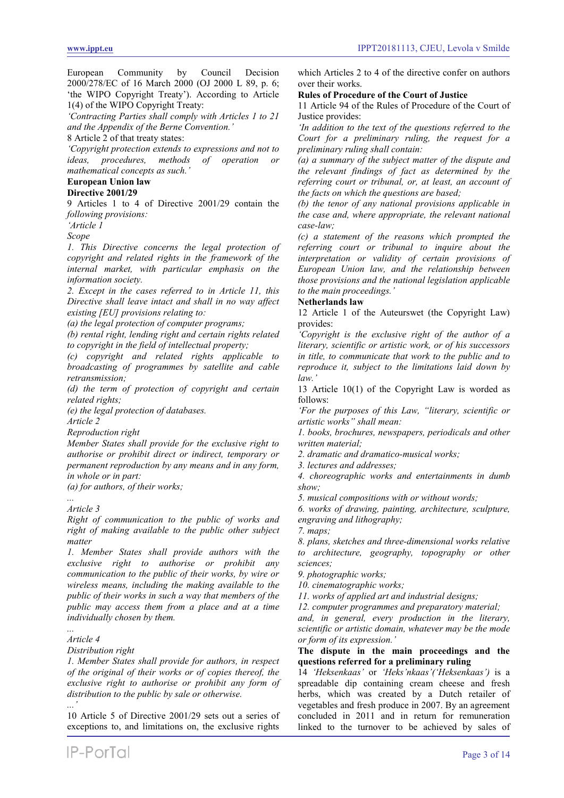European Community by Council Decision 2000/278/EC of 16 March 2000 (OJ 2000 L 89, p. 6; 'the WIPO Copyright Treaty'). According to Article 1(4) of the WIPO Copyright Treaty:

*'Contracting Parties shall comply with Articles 1 to 21 and the Appendix of the Berne Convention.'*

8 Article 2 of that treaty states:

*'Copyright protection extends to expressions and not to ideas, procedures, methods mathematical concepts as such.'*

# **European Union law**

**Directive 2001/29**

9 Articles 1 to 4 of Directive 2001/29 contain the *following provisions:*

*'Article 1*

*Scope*

*1. This Directive concerns the legal protection of copyright and related rights in the framework of the internal market, with particular emphasis on the information society.*

*2. Except in the cases referred to in Article 11, this Directive shall leave intact and shall in no way affect existing [EU] provisions relating to:*

*(a) the legal protection of computer programs;*

*(b) rental right, lending right and certain rights related to copyright in the field of intellectual property;*

*(c) copyright and related rights applicable to broadcasting of programmes by satellite and cable retransmission;*

*(d) the term of protection of copyright and certain related rights;*

*(e) the legal protection of databases.*

*Article 2*

*Reproduction right*

*Member States shall provide for the exclusive right to authorise or prohibit direct or indirect, temporary or permanent reproduction by any means and in any form, in whole or in part:*

*(a) for authors, of their works;*

#### *... Article 3*

*Right of communication to the public of works and right of making available to the public other subject matter*

*1. Member States shall provide authors with the exclusive right to authorise or prohibit any communication to the public of their works, by wire or wireless means, including the making available to the public of their works in such a way that members of the public may access them from a place and at a time individually chosen by them.*

#### *... Article 4*

*Distribution right*

*1. Member States shall provide for authors, in respect of the original of their works or of copies thereof, the exclusive right to authorise or prohibit any form of distribution to the public by sale or otherwise. ...'*

10 Article 5 of Directive 2001/29 sets out a series of exceptions to, and limitations on, the exclusive rights

which Articles 2 to 4 of the directive confer on authors over their works.

#### **Rules of Procedure of the Court of Justice**

11 Article 94 of the Rules of Procedure of the Court of Justice provides:

*'In addition to the text of the questions referred to the Court for a preliminary ruling, the request for a preliminary ruling shall contain:*

*(a) a summary of the subject matter of the dispute and the relevant findings of fact as determined by the referring court or tribunal, or, at least, an account of the facts on which the questions are based;*

*(b) the tenor of any national provisions applicable in the case and, where appropriate, the relevant national case-law;*

*(c) a statement of the reasons which prompted the referring court or tribunal to inquire about the interpretation or validity of certain provisions of European Union law, and the relationship between those provisions and the national legislation applicable to the main proceedings.'*

# **Netherlands law**

12 Article 1 of the Auteurswet (the Copyright Law) provides:

*'Copyright is the exclusive right of the author of a literary, scientific or artistic work, or of his successors in title, to communicate that work to the public and to reproduce it, subject to the limitations laid down by law.'*

13 Article 10(1) of the Copyright Law is worded as follows:

*'For the purposes of this Law, "literary, scientific or artistic works" shall mean:*

*1. books, brochures, newspapers, periodicals and other written material;*

*2. dramatic and dramatico-musical works;*

*3. lectures and addresses;*

*4. choreographic works and entertainments in dumb show;*

*5. musical compositions with or without words;*

*6. works of drawing, painting, architecture, sculpture, engraving and lithography;*

*7. maps;*

*8. plans, sketches and three-dimensional works relative to architecture, geography, topography or other sciences;*

*9. photographic works;*

*10. cinematographic works;*

*11. works of applied art and industrial designs;*

*12. computer programmes and preparatory material;*

*and, in general, every production in the literary, scientific or artistic domain, whatever may be the mode or form of its expression.'*

#### **The dispute in the main proceedings and the questions referred for a preliminary ruling**

14 *'Heksenkaas'* or *'Heks'nkaas'('Heksenkaas')* is a spreadable dip containing cream cheese and fresh herbs, which was created by a Dutch retailer of vegetables and fresh produce in 2007. By an agreement concluded in 2011 and in return for remuneration linked to the turnover to be achieved by sales of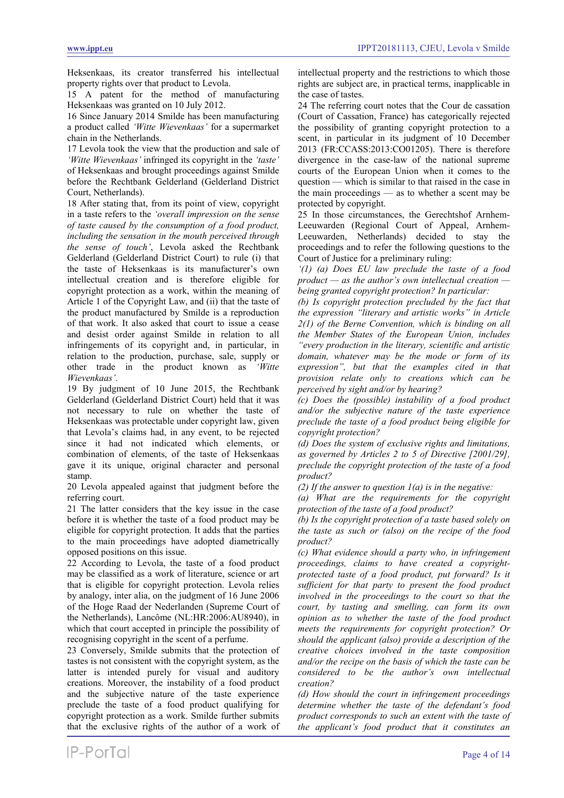Heksenkaas, its creator transferred his intellectual property rights over that product to Levola.

15 A patent for the method of manufacturing Heksenkaas was granted on 10 July 2012.

16 Since January 2014 Smilde has been manufacturing a product called *'Witte Wievenkaas'* for a supermarket chain in the Netherlands.

17 Levola took the view that the production and sale of *'Witte Wievenkaas'* infringed its copyright in the *'taste'* of Heksenkaas and brought proceedings against Smilde before the Rechtbank Gelderland (Gelderland District Court, Netherlands).

18 After stating that, from its point of view, copyright in a taste refers to the *'overall impression on the sense of taste caused by the consumption of a food product, including the sensation in the mouth perceived through the sense of touch'*, Levola asked the Rechtbank Gelderland (Gelderland District Court) to rule (i) that the taste of Heksenkaas is its manufacturer's own intellectual creation and is therefore eligible for copyright protection as a work, within the meaning of Article 1 of the Copyright Law, and (ii) that the taste of the product manufactured by Smilde is a reproduction of that work. It also asked that court to issue a cease and desist order against Smilde in relation to all infringements of its copyright and, in particular, in relation to the production, purchase, sale, supply or other trade in the product known as *'Witte Wievenkaas'*.

19 By judgment of 10 June 2015, the Rechtbank Gelderland (Gelderland District Court) held that it was not necessary to rule on whether the taste of Heksenkaas was protectable under copyright law, given that Levola's claims had, in any event, to be rejected since it had not indicated which elements, or combination of elements, of the taste of Heksenkaas gave it its unique, original character and personal stamp.

20 Levola appealed against that judgment before the referring court.

21 The latter considers that the key issue in the case before it is whether the taste of a food product may be eligible for copyright protection. It adds that the parties to the main proceedings have adopted diametrically opposed positions on this issue.

22 According to Levola, the taste of a food product may be classified as a work of literature, science or art that is eligible for copyright protection. Levola relies by analogy, inter alia, on the judgment of 16 June 2006 of the Hoge Raad der Nederlanden (Supreme Court of the Netherlands), Lancôme (NL:HR:2006:AU8940), in which that court accepted in principle the possibility of recognising copyright in the scent of a perfume.

23 Conversely, Smilde submits that the protection of tastes is not consistent with the copyright system, as the latter is intended purely for visual and auditory creations. Moreover, the instability of a food product and the subjective nature of the taste experience preclude the taste of a food product qualifying for copyright protection as a work. Smilde further submits that the exclusive rights of the author of a work of

intellectual property and the restrictions to which those rights are subject are, in practical terms, inapplicable in the case of tastes.

24 The referring court notes that the Cour de cassation (Court of Cassation, France) has categorically rejected the possibility of granting copyright protection to a scent, in particular in its judgment of 10 December 2013 (FR:CCASS:2013:CO01205). There is therefore divergence in the case-law of the national supreme courts of the European Union when it comes to the question –– which is similar to that raised in the case in the main proceedings –– as to whether a scent may be protected by copyright.

25 In those circumstances, the Gerechtshof Arnhem-Leeuwarden (Regional Court of Appeal, Arnhem-Leeuwarden, Netherlands) decided to stay the proceedings and to refer the following questions to the Court of Justice for a preliminary ruling:

*'(1) (a) Does EU law preclude the taste of a food product — as the author's own intellectual creation being granted copyright protection? In particular:*

*(b) Is copyright protection precluded by the fact that the expression "literary and artistic works" in Article 2(1) of the Berne Convention, which is binding on all the Member States of the European Union, includes "every production in the literary, scientific and artistic domain, whatever may be the mode or form of its expression", but that the examples cited in that provision relate only to creations which can be perceived by sight and/or by hearing?*

*(c) Does the (possible) instability of a food product and/or the subjective nature of the taste experience preclude the taste of a food product being eligible for copyright protection?*

*(d) Does the system of exclusive rights and limitations, as governed by Articles 2 to 5 of Directive [2001/29], preclude the copyright protection of the taste of a food product?*

*(2) If the answer to question 1(a) is in the negative:*

*(a) What are the requirements for the copyright protection of the taste of a food product?*

*(b) Is the copyright protection of a taste based solely on the taste as such or (also) on the recipe of the food product?*

*(c) What evidence should a party who, in infringement proceedings, claims to have created a copyrightprotected taste of a food product, put forward? Is it sufficient for that party to present the food product involved in the proceedings to the court so that the court, by tasting and smelling, can form its own opinion as to whether the taste of the food product meets the requirements for copyright protection? Or should the applicant (also) provide a description of the creative choices involved in the taste composition and/or the recipe on the basis of which the taste can be considered to be the author's own intellectual creation?*

*(d) How should the court in infringement proceedings determine whether the taste of the defendant's food product corresponds to such an extent with the taste of the applicant's food product that it constitutes an*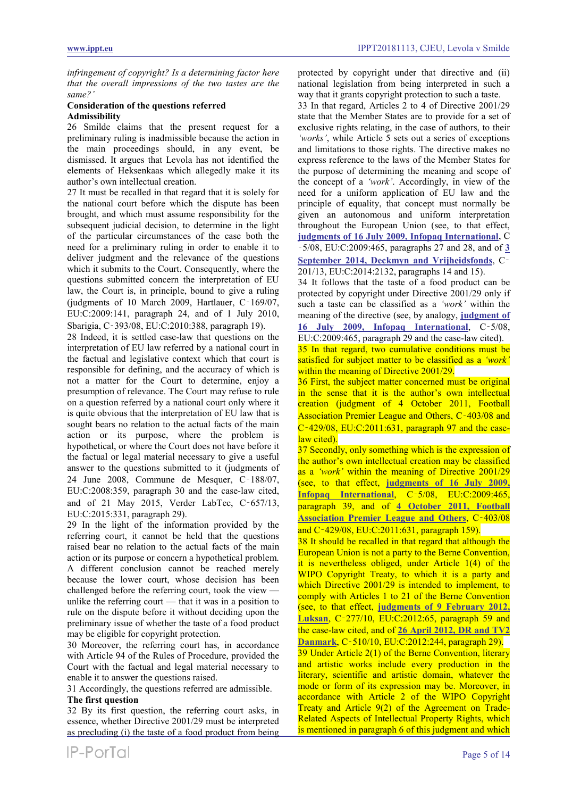*infringement of copyright? Is a determining factor here that the overall impressions of the two tastes are the same?'*

# **Consideration of the questions referred Admissibility**

26 Smilde claims that the present request for a preliminary ruling is inadmissible because the action in the main proceedings should, in any event, be dismissed. It argues that Levola has not identified the elements of Heksenkaas which allegedly make it its author's own intellectual creation.

27 It must be recalled in that regard that it is solely for the national court before which the dispute has been brought, and which must assume responsibility for the subsequent judicial decision, to determine in the light of the particular circumstances of the case both the need for a preliminary ruling in order to enable it to deliver judgment and the relevance of the questions which it submits to the Court. Consequently, where the questions submitted concern the interpretation of EU law, the Court is, in principle, bound to give a ruling (judgments of 10 March 2009, Hartlauer, C‑169/07, EU:C:2009:141, paragraph 24, and of 1 July 2010, Sbarigia, C‑393/08, EU:C:2010:388, paragraph 19).

28 Indeed, it is settled case-law that questions on the interpretation of EU law referred by a national court in the factual and legislative context which that court is responsible for defining, and the accuracy of which is not a matter for the Court to determine, enjoy a presumption of relevance. The Court may refuse to rule on a question referred by a national court only where it is quite obvious that the interpretation of EU law that is sought bears no relation to the actual facts of the main action or its purpose, where the problem is hypothetical, or where the Court does not have before it the factual or legal material necessary to give a useful answer to the questions submitted to it (judgments of 24 June 2008, Commune de Mesquer, C‑188/07, EU:C:2008:359, paragraph 30 and the case-law cited, and of 21 May 2015, Verder LabTec, C‑657/13, EU:C:2015:331, paragraph 29).

29 In the light of the information provided by the referring court, it cannot be held that the questions raised bear no relation to the actual facts of the main action or its purpose or concern a hypothetical problem. A different conclusion cannot be reached merely because the lower court, whose decision has been challenged before the referring court, took the view –– unlike the referring court  $-$  that it was in a position to rule on the dispute before it without deciding upon the preliminary issue of whether the taste of a food product may be eligible for copyright protection.

30 Moreover, the referring court has, in accordance with Article 94 of the Rules of Procedure, provided the Court with the factual and legal material necessary to enable it to answer the questions raised.

31 Accordingly, the questions referred are admissible.

#### **The first question**

32 By its first question, the referring court asks, in essence, whether Directive 2001/29 must be interpreted as precluding (i) the taste of a food product from being protected by copyright under that directive and (ii) national legislation from being interpreted in such a way that it grants copyright protection to such a taste.

33 In that regard, Articles 2 to 4 of Directive 2001/29 state that the Member States are to provide for a set of exclusive rights relating, in the case of authors, to their *'works'*, while Article 5 sets out a series of exceptions and limitations to those rights. The directive makes no express reference to the laws of the Member States for the purpose of determining the meaning and scope of the concept of a *'work'*. Accordingly, in view of the need for a uniform application of EU law and the principle of equality, that concept must normally be given an autonomous and uniform interpretation throughout the European Union (see, to that effect, **[judgments of 16 July 2009, Infopaq International](https://www.ippt.eu/sites/default/files/2009/IPPT20090716_ECJ_Infopaq_v_DDF.pdf)**, C ‑5/08, EU:C:2009:465, paragraphs 27 and 28, and of **[3](https://www.ippt.eu/sites/default/files/2014/IPPT20140903_ECJ_Deckmyn_and_Vrijheidsfonds_v_Vandersteen.pdf)  [September 2014, Deckmyn and Vrijheidsfonds](https://www.ippt.eu/sites/default/files/2014/IPPT20140903_ECJ_Deckmyn_and_Vrijheidsfonds_v_Vandersteen.pdf)**, C‑ 201/13, EU:C:2014:2132, paragraphs 14 and 15).

34 It follows that the taste of a food product can be protected by copyright under Directive 2001/29 only if such a taste can be classified as a *'work'* within the meaning of the directive (see, by analogy, **[judgment of](https://www.ippt.eu/sites/default/files/2009/IPPT20090716_ECJ_Infopaq_v_DDF.pdf)  [16 July 2009, Infopaq International](https://www.ippt.eu/sites/default/files/2009/IPPT20090716_ECJ_Infopaq_v_DDF.pdf)**, C‑5/08,

EU:C:2009:465, paragraph 29 and the case-law cited).

<span id="page-4-0"></span>35 In that regard, two cumulative conditions must be satisfied for subject matter to be classified as a *'work'* within the meaning of Directive 2001/29.

36 First, the subject matter concerned must be original in the sense that it is the author's own intellectual creation (judgment of 4 October 2011, Football Association Premier League and Others, C-403/08 and  $C-429/08$ , EU: $C:2011:631$ , paragraph 97 and the caselaw cited).

37 Secondly, only something which is the expression of the author's own intellectual creation may be classified as a *'work'* within the meaning of Directive 2001/29 (see, to that effect, **[judgments of 16 July 2009,](https://www.ippt.eu/sites/default/files/2009/IPPT20090716_ECJ_Infopaq_v_DDF.pdf)  [Infopaq International](https://www.ippt.eu/sites/default/files/2009/IPPT20090716_ECJ_Infopaq_v_DDF.pdf)**, C‑5/08, EU:C:2009:465, paragraph 39, and of **[4 October 2011, Football](https://www.ippt.eu/sites/default/files/2011/IPPT20111004_ECJ_Premier_League.pdf)  [Association Premier League and Others](https://www.ippt.eu/sites/default/files/2011/IPPT20111004_ECJ_Premier_League.pdf)**, C‑403/08 and C‑429/08, EU:C:2011:631, paragraph 159).

38 It should be recalled in that regard that although the European Union is not a party to the Berne Convention, it is nevertheless obliged, under Article 1(4) of the WIPO Copyright Treaty, to which it is a party and which Directive 2001/29 is intended to implement, to comply with Articles 1 to 21 of the Berne Convention (see, to that effect, **[judgments of 9 February 2012,](https://www.ippt.eu/sites/default/files/2012/IPPT20120209_ECJ_Luksan_v_van_der_Let.pdf)  [Luksan](https://www.ippt.eu/sites/default/files/2012/IPPT20120209_ECJ_Luksan_v_van_der_Let.pdf)**, C‑277/10, EU:C:2012:65, paragraph 59 and the case-law cited, and of **[26 April 2012, DR and TV2](https://www.ippt.eu/sites/default/files/2012/IPPT20120426_ECJ_TV2_Danmark_v_NRB.pdf)  [Danmark](https://www.ippt.eu/sites/default/files/2012/IPPT20120426_ECJ_TV2_Danmark_v_NRB.pdf)**, C‑510/10, EU:C:2012:244, paragraph 29). 39 Under Article 2(1) of the Berne Convention, literary and artistic works include every production in the literary, scientific and artistic domain, whatever the mode or form of its expression may be. Moreover, in accordance with Article 2 of the WIPO Copyright Treaty and Article 9(2) of the Agreement on Trade-Related Aspects of Intellectual Property Rights, which is mentioned in paragraph 6 of this judgment and which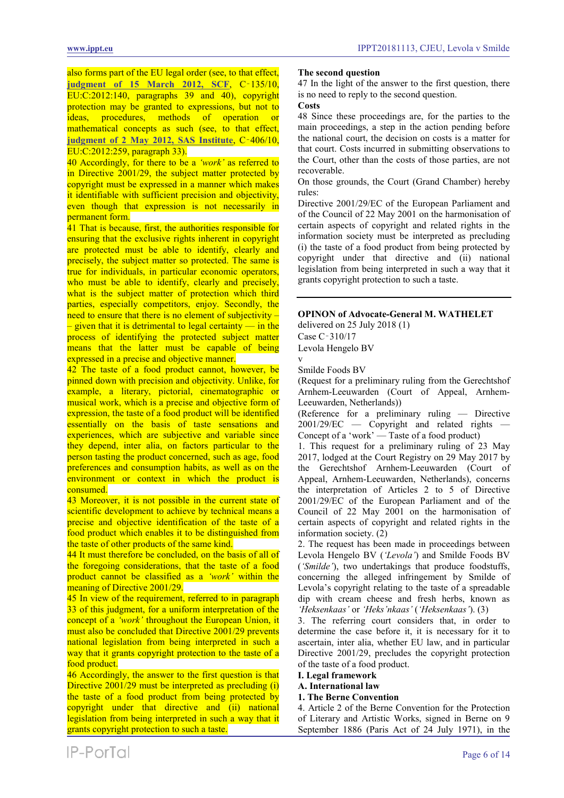also forms part of the EU legal order (see, to that effect, **[judgment of 15 March 2012, SCF](https://www.ippt.eu/sites/default/files/2012/IPPT20120315_ECJ_SCF_v_Del_Corso.pdf)**, C‑135/10, EU:C:2012:140, paragraphs 39 and 40), copyright protection may be granted to expressions, but not to ideas, procedures, methods of operation or mathematical concepts as such (see, to that effect, **[judgment of 2 May 2012, SAS Institute](https://www.ippt.eu/sites/default/files/2012/IPPT20120502_ECJ_SAS_Institute_v_WPL.pdf)**, C‑406/10, EU:C:2012:259, paragraph 33).

40 Accordingly, for there to be a *'work'* as referred to in Directive 2001/29, the subject matter protected by copyright must be expressed in a manner which makes it identifiable with sufficient precision and objectivity, even though that expression is not necessarily in permanent form.

41 That is because, first, the authorities responsible for ensuring that the exclusive rights inherent in copyright are protected must be able to identify, clearly and precisely, the subject matter so protected. The same is true for individuals, in particular economic operators, who must be able to identify, clearly and precisely, what is the subject matter of protection which third parties, especially competitors, enjoy. Secondly, the need to ensure that there is no element of subjectivity –  $-$  given that it is detrimental to legal certainty — in the process of identifying the protected subject matter means that the latter must be capable of being expressed in a precise and objective manner.

<span id="page-5-0"></span>42 The taste of a food product cannot, however, be pinned down with precision and objectivity. Unlike, for example, a literary, pictorial, cinematographic or musical work, which is a precise and objective form of expression, the taste of a food product will be identified essentially on the basis of taste sensations and experiences, which are subjective and variable since they depend, inter alia, on factors particular to the person tasting the product concerned, such as age, food preferences and consumption habits, as well as on the environment or context in which the product is consumed.

<span id="page-5-1"></span>43 Moreover, it is not possible in the current state of scientific development to achieve by technical means a precise and objective identification of the taste of a food product which enables it to be distinguished from the taste of other products of the same kind.

44 It must therefore be concluded, on the basis of all of the foregoing considerations, that the taste of a food product cannot be classified as a *'work'* within the meaning of Directive 2001/29.

45 In view of the requirement, referred to in paragraph 33 of this judgment, for a uniform interpretation of the concept of a *'work'* throughout the European Union, it must also be concluded that Directive 2001/29 prevents national legislation from being interpreted in such a way that it grants copyright protection to the taste of a food product.

46 Accordingly, the answer to the first question is that Directive 2001/29 must be interpreted as precluding (i) the taste of a food product from being protected by copyright under that directive and (ii) national legislation from being interpreted in such a way that it grants copyright protection to such a taste.

### **The second question**

47 In the light of the answer to the first question, there is no need to reply to the second question.

# **Costs**

48 Since these proceedings are, for the parties to the main proceedings, a step in the action pending before the national court, the decision on costs is a matter for that court. Costs incurred in submitting observations to the Court, other than the costs of those parties, are not recoverable.

On those grounds, the Court (Grand Chamber) hereby rules:

Directive 2001/29/EC of the European Parliament and of the Council of 22 May 2001 on the harmonisation of certain aspects of copyright and related rights in the information society must be interpreted as precluding (i) the taste of a food product from being protected by copyright under that directive and (ii) national legislation from being interpreted in such a way that it grants copyright protection to such a taste.

# **OPINON of Advocate-General M. WATHELET**

delivered on 25 July 2018 (1)

Case C‑310/17

Levola Hengelo BV

v Smilde Foods BV

(Request for a preliminary ruling from the Gerechtshof Arnhem-Leeuwarden (Court of Appeal, Arnhem-Leeuwarden, Netherlands))

(Reference for a preliminary ruling — Directive 2001/29/EC — Copyright and related rights Concept of a 'work' — Taste of a food product)

1. This request for a preliminary ruling of 23 May 2017, lodged at the Court Registry on 29 May 2017 by the Gerechtshof Arnhem-Leeuwarden (Court of Appeal, Arnhem-Leeuwarden, Netherlands), concerns the interpretation of Articles 2 to 5 of Directive 2001/29/EC of the European Parliament and of the Council of 22 May 2001 on the harmonisation of certain aspects of copyright and related rights in the information society. (2)

2. The request has been made in proceedings between Levola Hengelo BV (*'Levola'*) and Smilde Foods BV (*'Smilde'*), two undertakings that produce foodstuffs, concerning the alleged infringement by Smilde of Levola's copyright relating to the taste of a spreadable dip with cream cheese and fresh herbs, known as *'Heksenkaas'* or *'Heks'nkaas'* (*'Heksenkaas'*). (3)

3. The referring court considers that, in order to determine the case before it, it is necessary for it to ascertain, inter alia, whether EU law, and in particular Directive 2001/29, precludes the copyright protection of the taste of a food product.

#### **I. Legal framework**

- **A. International law**
- **1. The Berne Convention**

4. Article 2 of the Berne Convention for the Protection of Literary and Artistic Works, signed in Berne on 9 September 1886 (Paris Act of 24 July 1971), in the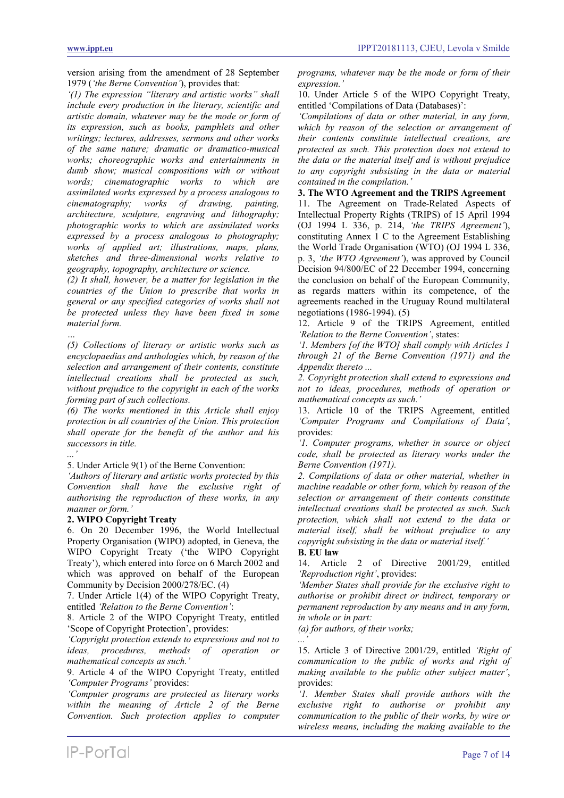version arising from the amendment of 28 September 1979 (*'the Berne Convention'*), provides that:

*'(1) The expression "literary and artistic works" shall include every production in the literary, scientific and artistic domain, whatever may be the mode or form of its expression, such as books, pamphlets and other writings; lectures, addresses, sermons and other works of the same nature; dramatic or dramatico-musical works; choreographic works and entertainments in dumb show; musical compositions with or without words; cinematographic works to which are assimilated works expressed by a process analogous to cinematography; works of drawing, painting, architecture, sculpture, engraving and lithography; photographic works to which are assimilated works expressed by a process analogous to photography; works of applied art; illustrations, maps, plans, sketches and three-dimensional works relative to geography, topography, architecture or science.*

*(2) It shall, however, be a matter for legislation in the countries of the Union to prescribe that works in general or any specified categories of works shall not be protected unless they have been fixed in some material form.*

*… (5) Collections of literary or artistic works such as encyclopaedias and anthologies which, by reason of the selection and arrangement of their contents, constitute intellectual creations shall be protected as such, without prejudice to the copyright in each of the works forming part of such collections.*

*(6) The works mentioned in this Article shall enjoy protection in all countries of the Union. This protection shall operate for the benefit of the author and his successors in title.*

# *...'*

5. Under Article 9(1) of the Berne Convention:

*'Authors of literary and artistic works protected by this Convention shall have the exclusive right of authorising the reproduction of these works, in any manner or form.'*

#### **2. WIPO Copyright Treaty**

6. On 20 December 1996, the World Intellectual Property Organisation (WIPO) adopted, in Geneva, the WIPO Copyright Treaty ('the WIPO Copyright Treaty'), which entered into force on 6 March 2002 and which was approved on behalf of the European Community by Decision 2000/278/EC. (4)

7. Under Article 1(4) of the WIPO Copyright Treaty, entitled *'Relation to the Berne Convention'*:

8. Article 2 of the WIPO Copyright Treaty, entitled 'Scope of Copyright Protection', provides:

*'Copyright protection extends to expressions and not to ideas, procedures, methods of operation or mathematical concepts as such.'*

9. Article 4 of the WIPO Copyright Treaty, entitled *'Computer Programs'* provides:

*'Computer programs are protected as literary works within the meaning of Article 2 of the Berne Convention. Such protection applies to computer* 

10. Under Article 5 of the WIPO Copyright Treaty, entitled 'Compilations of Data (Databases)':

*'Compilations of data or other material, in any form, which by reason of the selection or arrangement of their contents constitute intellectual creations, are protected as such. This protection does not extend to the data or the material itself and is without prejudice to any copyright subsisting in the data or material contained in the compilation.'*

#### **3. The WTO Agreement and the TRIPS Agreement**

11. The Agreement on Trade-Related Aspects of Intellectual Property Rights (TRIPS) of 15 April 1994 (OJ 1994 L 336, p. 214, *'the TRIPS Agreement'*), constituting Annex 1 C to the Agreement Establishing the World Trade Organisation (WTO) (OJ 1994 L 336, p. 3, *'the WTO Agreement'*), was approved by Council Decision 94/800/EC of 22 December 1994, concerning the conclusion on behalf of the European Community, as regards matters within its competence, of the agreements reached in the Uruguay Round multilateral negotiations (1986-1994). (5)

12. Article 9 of the TRIPS Agreement, entitled *'Relation to the Berne Convention'*, states:

*'1. Members [of the WTO] shall comply with Articles 1 through 21 of the Berne Convention (1971) and the Appendix thereto ...*

*2. Copyright protection shall extend to expressions and not to ideas, procedures, methods of operation or mathematical concepts as such.'*

13. Article 10 of the TRIPS Agreement, entitled *'Computer Programs and Compilations of Data'*, provides:

*'1. Computer programs, whether in source or object code, shall be protected as literary works under the Berne Convention (1971).*

*2. Compilations of data or other material, whether in machine readable or other form, which by reason of the selection or arrangement of their contents constitute intellectual creations shall be protected as such. Such protection, which shall not extend to the data or material itself, shall be without prejudice to any copyright subsisting in the data or material itself.'*

14. Article 2 of Directive 2001/29, entitled *'Reproduction right'*, provides:

*'Member States shall provide for the exclusive right to authorise or prohibit direct or indirect, temporary or permanent reproduction by any means and in any form, in whole or in part:*

*(a) for authors, of their works;*

*...'* 15. Article 3 of Directive 2001/29, entitled *'Right of communication to the public of works and right of making available to the public other subject matter'*, provides:

*'1. Member States shall provide authors with the exclusive right to authorise or prohibit any communication to the public of their works, by wire or wireless means, including the making available to the* 

**B. EU law**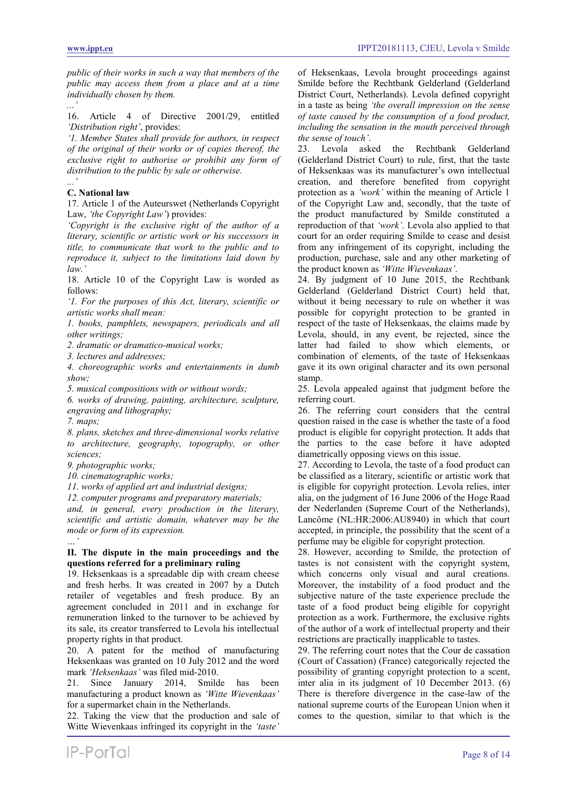*public of their works in such a way that members of the public may access them from a place and at a time individually chosen by them. ...'*

16. Article 4 of Directive 2001/29, entitled *'Distribution right'*, provides:

*'1. Member States shall provide for authors, in respect of the original of their works or of copies thereof, the exclusive right to authorise or prohibit any form of distribution to the public by sale or otherwise.*

# **C. National law**

*...'*

17. Article 1 of the Auteurswet (Netherlands Copyright Law, *'the Copyright Law'*) provides:

*'Copyright is the exclusive right of the author of a literary, scientific or artistic work or his successors in title, to communicate that work to the public and to reproduce it, subject to the limitations laid down by law.'*

18. Article 10 of the Copyright Law is worded as follows:

*'1. For the purposes of this Act, literary, scientific or artistic works shall mean:*

*1. books, pamphlets, newspapers, periodicals and all other writings;*

*2. dramatic or dramatico-musical works;*

*3. lectures and addresses;*

*4. choreographic works and entertainments in dumb show;*

*5. musical compositions with or without words;*

*6. works of drawing, painting, architecture, sculpture, engraving and lithography;*

*7. maps;*

*8. plans, sketches and three-dimensional works relative to architecture, geography, topography, or other sciences;*

*9. photographic works;*

*10. cinematographic works;*

*11. works of applied art and industrial designs;*

*12. computer programs and preparatory materials;*

*and, in general, every production in the literary, scientific and artistic domain, whatever may be the mode or form of its expression. …'*

# **II. The dispute in the main proceedings and the questions referred for a preliminary ruling**

19. Heksenkaas is a spreadable dip with cream cheese and fresh herbs. It was created in 2007 by a Dutch retailer of vegetables and fresh produce. By an agreement concluded in 2011 and in exchange for remuneration linked to the turnover to be achieved by its sale, its creator transferred to Levola his intellectual property rights in that product.

20. A patent for the method of manufacturing Heksenkaas was granted on 10 July 2012 and the word mark *'Heksenkaas'* was filed mid-2010.

21. Since January 2014, Smilde has been manufacturing a product known as *'Witte Wievenkaas'* for a supermarket chain in the Netherlands.

22. Taking the view that the production and sale of Witte Wievenkaas infringed its copyright in the *'taste'*

of Heksenkaas, Levola brought proceedings against Smilde before the Rechtbank Gelderland (Gelderland District Court, Netherlands). Levola defined copyright in a taste as being *'the overall impression on the sense of taste caused by the consumption of a food product, including the sensation in the mouth perceived through the sense of touch'*.

23. Levola asked the Rechtbank Gelderland (Gelderland District Court) to rule, first, that the taste of Heksenkaas was its manufacturer's own intellectual creation, and therefore benefited from copyright protection as a *'work'* within the meaning of Article 1 of the Copyright Law and, secondly, that the taste of the product manufactured by Smilde constituted a reproduction of that *'work'*. Levola also applied to that court for an order requiring Smilde to cease and desist from any infringement of its copyright, including the production, purchase, sale and any other marketing of the product known as *'Witte Wievenkaas'*.

24. By judgment of 10 June 2015, the Rechtbank Gelderland (Gelderland District Court) held that, without it being necessary to rule on whether it was possible for copyright protection to be granted in respect of the taste of Heksenkaas, the claims made by Levola, should, in any event, be rejected, since the latter had failed to show which elements, or combination of elements, of the taste of Heksenkaas gave it its own original character and its own personal stamp.

25. Levola appealed against that judgment before the referring court.

26. The referring court considers that the central question raised in the case is whether the taste of a food product is eligible for copyright protection. It adds that the parties to the case before it have adopted diametrically opposing views on this issue.

27. According to Levola, the taste of a food product can be classified as a literary, scientific or artistic work that is eligible for copyright protection. Levola relies, inter alia, on the judgment of 16 June 2006 of the Hoge Raad der Nederlanden (Supreme Court of the Netherlands), Lancôme (NL:HR:2006:AU8940) in which that court accepted, in principle, the possibility that the scent of a perfume may be eligible for copyright protection.

28. However, according to Smilde, the protection of tastes is not consistent with the copyright system, which concerns only visual and aural creations. Moreover, the instability of a food product and the subjective nature of the taste experience preclude the taste of a food product being eligible for copyright protection as a work. Furthermore, the exclusive rights of the author of a work of intellectual property and their restrictions are practically inapplicable to tastes.

29. The referring court notes that the Cour de cassation (Court of Cassation) (France) categorically rejected the possibility of granting copyright protection to a scent, inter alia in its judgment of 10 December 2013. (6) There is therefore divergence in the case-law of the national supreme courts of the European Union when it comes to the question, similar to that which is the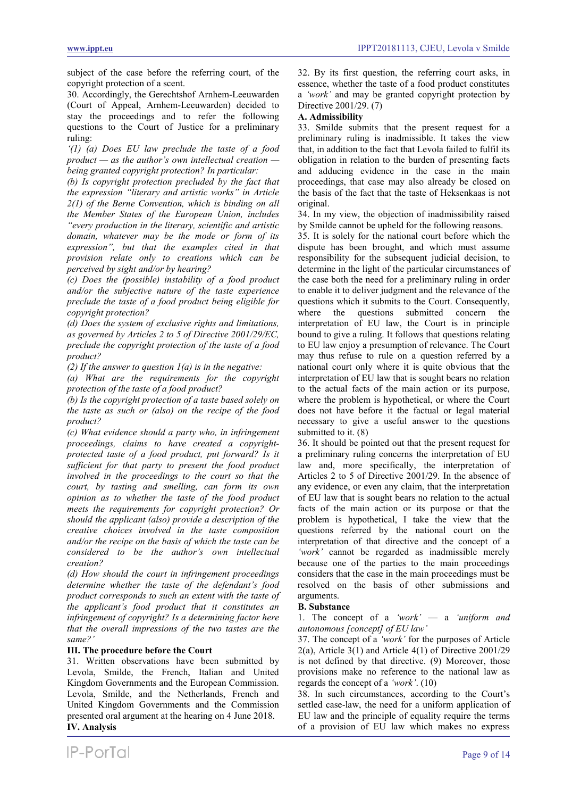subject of the case before the referring court, of the copyright protection of a scent.

30. Accordingly, the Gerechtshof Arnhem-Leeuwarden (Court of Appeal, Arnhem-Leeuwarden) decided to stay the proceedings and to refer the following questions to the Court of Justice for a preliminary ruling:

*'(1) (a) Does EU law preclude the taste of a food product — as the author's own intellectual creation being granted copyright protection? In particular:*

*(b) Is copyright protection precluded by the fact that the expression "literary and artistic works" in Article 2(1) of the Berne Convention, which is binding on all the Member States of the European Union, includes "every production in the literary, scientific and artistic domain, whatever may be the mode or form of its expression", but that the examples cited in that provision relate only to creations which can be perceived by sight and/or by hearing?*

*(c) Does the (possible) instability of a food product and/or the subjective nature of the taste experience preclude the taste of a food product being eligible for copyright protection?*

*(d) Does the system of exclusive rights and limitations, as governed by Articles 2 to 5 of Directive 2001/29/EC, preclude the copyright protection of the taste of a food product?*

*(2) If the answer to question 1(a) is in the negative:*

*(a) What are the requirements for the copyright protection of the taste of a food product?*

*(b) Is the copyright protection of a taste based solely on the taste as such or (also) on the recipe of the food product?*

*(c) What evidence should a party who, in infringement proceedings, claims to have created a copyrightprotected taste of a food product, put forward? Is it sufficient for that party to present the food product involved in the proceedings to the court so that the court, by tasting and smelling, can form its own opinion as to whether the taste of the food product meets the requirements for copyright protection? Or should the applicant (also) provide a description of the creative choices involved in the taste composition and/or the recipe on the basis of which the taste can be considered to be the author's own intellectual creation?*

*(d) How should the court in infringement proceedings determine whether the taste of the defendant's food product corresponds to such an extent with the taste of the applicant's food product that it constitutes an infringement of copyright? Is a determining factor here that the overall impressions of the two tastes are the same?'*

# **III. The procedure before the Court**

31. Written observations have been submitted by Levola, Smilde, the French, Italian and United Kingdom Governments and the European Commission. Levola, Smilde, and the Netherlands, French and United Kingdom Governments and the Commission presented oral argument at the hearing on 4 June 2018. **IV. Analysis**

32. By its first question, the referring court asks, in essence, whether the taste of a food product constitutes a *'work'* and may be granted copyright protection by Directive 2001/29. (7)

# **A. Admissibility**

33. Smilde submits that the present request for a preliminary ruling is inadmissible. It takes the view that, in addition to the fact that Levola failed to fulfil its obligation in relation to the burden of presenting facts and adducing evidence in the case in the main proceedings, that case may also already be closed on the basis of the fact that the taste of Heksenkaas is not original.

34. In my view, the objection of inadmissibility raised by Smilde cannot be upheld for the following reasons.

35. It is solely for the national court before which the dispute has been brought, and which must assume responsibility for the subsequent judicial decision, to determine in the light of the particular circumstances of the case both the need for a preliminary ruling in order to enable it to deliver judgment and the relevance of the questions which it submits to the Court. Consequently, where the questions submitted concern the interpretation of EU law, the Court is in principle bound to give a ruling. It follows that questions relating to EU law enjoy a presumption of relevance. The Court may thus refuse to rule on a question referred by a national court only where it is quite obvious that the interpretation of EU law that is sought bears no relation to the actual facts of the main action or its purpose, where the problem is hypothetical, or where the Court does not have before it the factual or legal material necessary to give a useful answer to the questions submitted to it. (8)

36. It should be pointed out that the present request for a preliminary ruling concerns the interpretation of EU law and, more specifically, the interpretation of Articles 2 to 5 of Directive 2001/29. In the absence of any evidence, or even any claim, that the interpretation of EU law that is sought bears no relation to the actual facts of the main action or its purpose or that the problem is hypothetical, I take the view that the questions referred by the national court on the interpretation of that directive and the concept of a *'work'* cannot be regarded as inadmissible merely because one of the parties to the main proceedings considers that the case in the main proceedings must be resolved on the basis of other submissions and arguments.

# **B. Substance**

1. The concept of a *'work'* — a *'uniform and autonomous [concept] of EU law'*

37. The concept of a *'work'* for the purposes of Article  $2(a)$ , Article 3(1) and Article 4(1) of Directive 2001/29 is not defined by that directive. (9) Moreover, those provisions make no reference to the national law as regards the concept of a *'work'*. (10)

38. In such circumstances, according to the Court's settled case-law, the need for a uniform application of EU law and the principle of equality require the terms of a provision of EU law which makes no express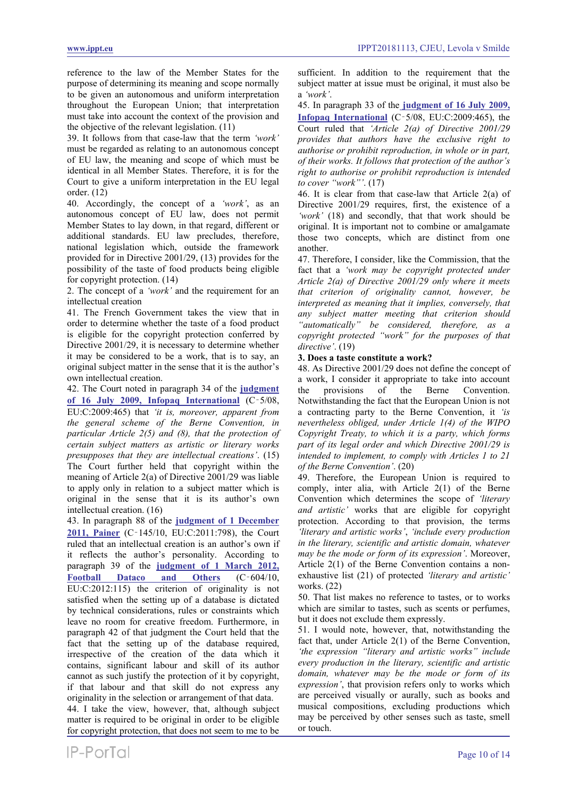reference to the law of the Member States for the purpose of determining its meaning and scope normally to be given an autonomous and uniform interpretation throughout the European Union; that interpretation must take into account the context of the provision and the objective of the relevant legislation. (11)

39. It follows from that case-law that the term *'work'* must be regarded as relating to an autonomous concept of EU law, the meaning and scope of which must be identical in all Member States. Therefore, it is for the Court to give a uniform interpretation in the EU legal order. (12)

40. Accordingly, the concept of a *'work'*, as an autonomous concept of EU law, does not permit Member States to lay down, in that regard, different or additional standards. EU law precludes, therefore, national legislation which, outside the framework provided for in Directive 2001/29, (13) provides for the possibility of the taste of food products being eligible for copyright protection. (14)

2. The concept of a *'work'* and the requirement for an intellectual creation

41. The French Government takes the view that in order to determine whether the taste of a food product is eligible for the copyright protection conferred by Directive 2001/29, it is necessary to determine whether it may be considered to be a work, that is to say, an original subject matter in the sense that it is the author's own intellectual creation.

42. The Court noted in paragraph 34 of the **[judgment](https://www.ippt.eu/sites/default/files/2009/IPPT20090716_ECJ_Infopaq_v_DDF.pdf)  [of 16 July 2009, Infopaq International](https://www.ippt.eu/sites/default/files/2009/IPPT20090716_ECJ_Infopaq_v_DDF.pdf)** (C‑5/08, EU:C:2009:465) that *'it is, moreover, apparent from the general scheme of the Berne Convention, in particular Article 2(5) and (8), that the protection of certain subject matters as artistic or literary works presupposes that they are intellectual creations'*. (15) The Court further held that copyright within the meaning of Article 2(a) of Directive 2001/29 was liable to apply only in relation to a subject matter which is original in the sense that it is its author's own intellectual creation. (16)

43. In paragraph 88 of the **[judgment of 1 December](https://www.ippt.eu/sites/default/files/2011/IPPT20111201_ECJ_Painer_v_Standard.pdf)  [2011, Painer](https://www.ippt.eu/sites/default/files/2011/IPPT20111201_ECJ_Painer_v_Standard.pdf)** (C‑145/10, EU:C:2011:798), the Court ruled that an intellectual creation is an author's own if it reflects the author's personality. According to paragraph 39 of the **[judgment of 1 March 2012,](https://www.ippt.eu/sites/default/files/2012/IPPT20120301_ECJ_Football_Dataco_v_Yahoo.pdf)  [Football Dataco and Others](https://www.ippt.eu/sites/default/files/2012/IPPT20120301_ECJ_Football_Dataco_v_Yahoo.pdf)** (C‑604/10, EU:C:2012:115) the criterion of originality is not satisfied when the setting up of a database is dictated by technical considerations, rules or constraints which leave no room for creative freedom. Furthermore, in paragraph 42 of that judgment the Court held that the fact that the setting up of the database required, irrespective of the creation of the data which it contains, significant labour and skill of its author cannot as such justify the protection of it by copyright, if that labour and that skill do not express any originality in the selection or arrangement of that data.

44. I take the view, however, that, although subject matter is required to be original in order to be eligible for copyright protection, that does not seem to me to be sufficient. In addition to the requirement that the subject matter at issue must be original, it must also be a *'work'*.

45. In paragraph 33 of the **[judgment of 16 July 2009,](https://www.ippt.eu/sites/default/files/2009/IPPT20090716_ECJ_Infopaq_v_DDF.pdf)  [Infopaq International](https://www.ippt.eu/sites/default/files/2009/IPPT20090716_ECJ_Infopaq_v_DDF.pdf)** (C‑5/08, EU:C:2009:465), the Court ruled that *'Article 2(a) of Directive 2001/29 provides that authors have the exclusive right to authorise or prohibit reproduction, in whole or in part, of their works. It follows that protection of the author's right to authorise or prohibit reproduction is intended to cover "work"'*. (17)

46. It is clear from that case-law that Article 2(a) of Directive 2001/29 requires, first, the existence of a *'work'* (18) and secondly, that that work should be original. It is important not to combine or amalgamate those two concepts, which are distinct from one another.

47. Therefore, I consider, like the Commission, that the fact that a *'work may be copyright protected under Article 2(a) of Directive 2001/29 only where it meets that criterion of originality cannot, however, be interpreted as meaning that it implies, conversely, that any subject matter meeting that criterion should "automatically" be considered, therefore, as a copyright protected "work" for the purposes of that directive'*. (19)

# **3. Does a taste constitute a work?**

48. As Directive 2001/29 does not define the concept of a work, I consider it appropriate to take into account the provisions of the Berne Convention. Notwithstanding the fact that the European Union is not a contracting party to the Berne Convention, it *'is nevertheless obliged, under Article 1(4) of the WIPO Copyright Treaty, to which it is a party, which forms part of its legal order and which Directive 2001/29 is intended to implement, to comply with Articles 1 to 21 of the Berne Convention'*. (20)

49. Therefore, the European Union is required to comply, inter alia, with Article 2(1) of the Berne Convention which determines the scope of *'literary and artistic'* works that are eligible for copyright protection. According to that provision, the terms *'literary and artistic works'*, *'include every production in the literary, scientific and artistic domain, whatever may be the mode or form of its expression'*. Moreover, Article 2(1) of the Berne Convention contains a nonexhaustive list (21) of protected *'literary and artistic'* works. (22)

50. That list makes no reference to tastes, or to works which are similar to tastes, such as scents or perfumes, but it does not exclude them expressly.

51. I would note, however, that, notwithstanding the fact that, under Article 2(1) of the Berne Convention, *'the expression "literary and artistic works" include every production in the literary, scientific and artistic domain, whatever may be the mode or form of its expression'*, that provision refers only to works which are perceived visually or aurally, such as books and musical compositions, excluding productions which may be perceived by other senses such as taste, smell or touch.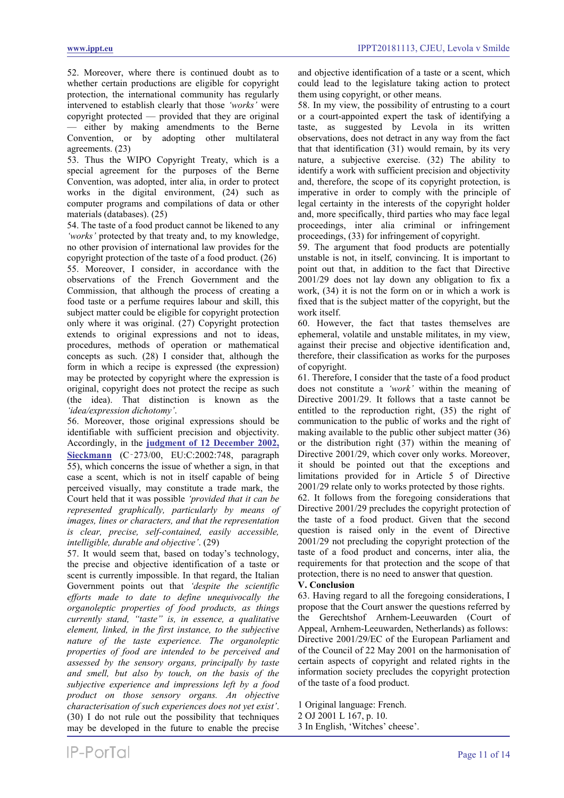52. Moreover, where there is continued doubt as to whether certain productions are eligible for copyright protection, the international community has regularly intervened to establish clearly that those *'works'* were copyright protected — provided that they are original — either by making amendments to the Berne Convention, or by adopting other multilateral agreements. (23)

53. Thus the WIPO Copyright Treaty, which is a special agreement for the purposes of the Berne Convention, was adopted, inter alia, in order to protect works in the digital environment, (24) such as computer programs and compilations of data or other materials (databases). (25)

54. The taste of a food product cannot be likened to any *'works'* protected by that treaty and, to my knowledge, no other provision of international law provides for the copyright protection of the taste of a food product. (26) 55. Moreover, I consider, in accordance with the observations of the French Government and the Commission, that although the process of creating a food taste or a perfume requires labour and skill, this subject matter could be eligible for copyright protection only where it was original. (27) Copyright protection extends to original expressions and not to ideas, procedures, methods of operation or mathematical concepts as such. (28) I consider that, although the form in which a recipe is expressed (the expression) may be protected by copyright where the expression is original, copyright does not protect the recipe as such (the idea). That distinction is known as the *'idea/expression dichotomy'*.

56. Moreover, those original expressions should be identifiable with sufficient precision and objectivity. Accordingly, in the **[judgment of 12 December 2002,](https://www.ippt.eu/sites/default/files/2002/IPPT20021212_ECJ_Sieckmann.pdf)  [Sieckmann](https://www.ippt.eu/sites/default/files/2002/IPPT20021212_ECJ_Sieckmann.pdf)** (C‑273/00, EU:C:2002:748, paragraph 55), which concerns the issue of whether a sign, in that case a scent, which is not in itself capable of being perceived visually, may constitute a trade mark, the Court held that it was possible *'provided that it can be represented graphically, particularly by means of images, lines or characters, and that the representation is clear, precise, self-contained, easily accessible, intelligible, durable and objective'*. (29)

57. It would seem that, based on today's technology, the precise and objective identification of a taste or scent is currently impossible. In that regard, the Italian Government points out that *'despite the scientific efforts made to date to define unequivocally the organoleptic properties of food products, as things currently stand, "taste" is, in essence, a qualitative element, linked, in the first instance, to the subjective nature of the taste experience. The organoleptic properties of food are intended to be perceived and assessed by the sensory organs, principally by taste and smell, but also by touch, on the basis of the subjective experience and impressions left by a food product on those sensory organs. An objective characterisation of such experiences does not yet exist'*. (30) I do not rule out the possibility that techniques may be developed in the future to enable the precise and objective identification of a taste or a scent, which could lead to the legislature taking action to protect them using copyright, or other means.

58. In my view, the possibility of entrusting to a court or a court-appointed expert the task of identifying a taste, as suggested by Levola in its written observations, does not detract in any way from the fact that that identification (31) would remain, by its very nature, a subjective exercise. (32) The ability to identify a work with sufficient precision and objectivity and, therefore, the scope of its copyright protection, is imperative in order to comply with the principle of legal certainty in the interests of the copyright holder and, more specifically, third parties who may face legal proceedings, inter alia criminal or infringement proceedings, (33) for infringement of copyright.

59. The argument that food products are potentially unstable is not, in itself, convincing. It is important to point out that, in addition to the fact that Directive 2001/29 does not lay down any obligation to fix a work, (34) it is not the form on or in which a work is fixed that is the subject matter of the copyright, but the work itself.

60. However, the fact that tastes themselves are ephemeral, volatile and unstable militates, in my view, against their precise and objective identification and, therefore, their classification as works for the purposes of copyright.

61. Therefore, I consider that the taste of a food product does not constitute a *'work'* within the meaning of Directive 2001/29. It follows that a taste cannot be entitled to the reproduction right, (35) the right of communication to the public of works and the right of making available to the public other subject matter (36) or the distribution right (37) within the meaning of Directive 2001/29, which cover only works. Moreover, it should be pointed out that the exceptions and limitations provided for in Article 5 of Directive 2001/29 relate only to works protected by those rights.

62. It follows from the foregoing considerations that Directive 2001/29 precludes the copyright protection of the taste of a food product. Given that the second question is raised only in the event of Directive 2001/29 not precluding the copyright protection of the taste of a food product and concerns, inter alia, the requirements for that protection and the scope of that protection, there is no need to answer that question.

# **V. Conclusion**

63. Having regard to all the foregoing considerations, I propose that the Court answer the questions referred by the Gerechtshof Arnhem-Leeuwarden (Court of Appeal, Arnhem-Leeuwarden, Netherlands) as follows: Directive 2001/29/EC of the European Parliament and of the Council of 22 May 2001 on the harmonisation of certain aspects of copyright and related rights in the information society precludes the copyright protection of the taste of a food product.

1 Original language: French.

2 OJ 2001 L 167, p. 10.

3 In English, 'Witches' cheese'.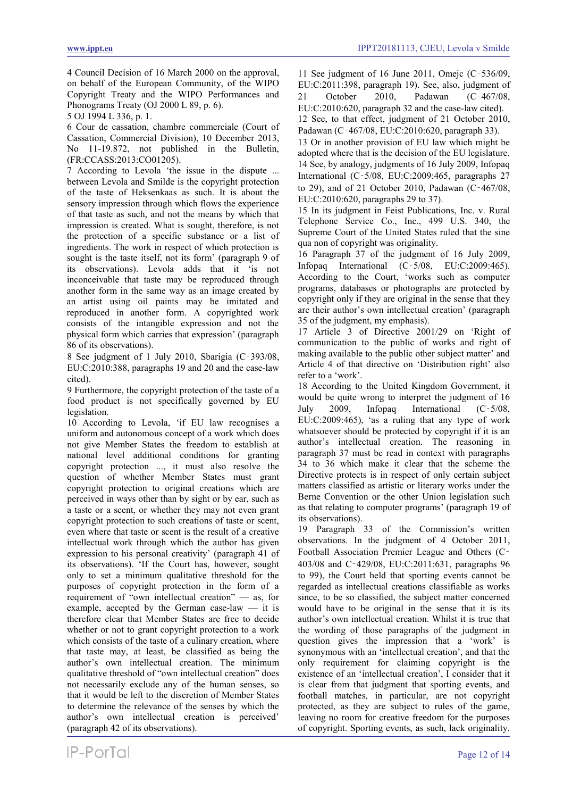4 Council Decision of 16 March 2000 on the approval, on behalf of the European Community, of the WIPO Copyright Treaty and the WIPO Performances and Phonograms Treaty (OJ 2000 L 89, p. 6).

5 OJ 1994 L 336, p. 1.

6 Cour de cassation, chambre commerciale (Court of Cassation, Commercial Division), 10 December 2013, No 11-19.872, not published in the Bulletin, (FR:CCASS:2013:CO01205).

7 According to Levola 'the issue in the dispute ... between Levola and Smilde is the copyright protection of the taste of Heksenkaas as such. It is about the sensory impression through which flows the experience of that taste as such, and not the means by which that impression is created. What is sought, therefore, is not the protection of a specific substance or a list of ingredients. The work in respect of which protection is sought is the taste itself, not its form' (paragraph 9 of its observations). Levola adds that it 'is not inconceivable that taste may be reproduced through another form in the same way as an image created by an artist using oil paints may be imitated and reproduced in another form. A copyrighted work consists of the intangible expression and not the physical form which carries that expression' (paragraph 86 of its observations).

8 See judgment of 1 July 2010, Sbarigia (C‑393/08, EU:C:2010:388, paragraphs 19 and 20 and the case-law cited).

9 Furthermore, the copyright protection of the taste of a food product is not specifically governed by EU legislation.

10 According to Levola, 'if EU law recognises a uniform and autonomous concept of a work which does not give Member States the freedom to establish at national level additional conditions for granting copyright protection ..., it must also resolve the question of whether Member States must grant copyright protection to original creations which are perceived in ways other than by sight or by ear, such as a taste or a scent, or whether they may not even grant copyright protection to such creations of taste or scent, even where that taste or scent is the result of a creative intellectual work through which the author has given expression to his personal creativity' (paragraph 41 of its observations). 'If the Court has, however, sought only to set a minimum qualitative threshold for the purposes of copyright protection in the form of a requirement of "own intellectual creation" — as, for example, accepted by the German case-law — it is therefore clear that Member States are free to decide whether or not to grant copyright protection to a work which consists of the taste of a culinary creation, where that taste may, at least, be classified as being the author's own intellectual creation. The minimum qualitative threshold of "own intellectual creation" does not necessarily exclude any of the human senses, so that it would be left to the discretion of Member States to determine the relevance of the senses by which the author's own intellectual creation is perceived' (paragraph 42 of its observations).

11 See judgment of 16 June 2011, Omejc (C‑536/09, EU:C:2011:398, paragraph 19). See, also, judgment of 21 October 2010, Padawan (C‑467/08, EU:C:2010:620, paragraph 32 and the case-law cited). 12 See, to that effect, judgment of 21 October 2010, Padawan (C‑467/08, EU:C:2010:620, paragraph 33).

13 Or in another provision of EU law which might be adopted where that is the decision of the EU legislature. 14 See, by analogy, judgments of 16 July 2009, Infopaq International (C‑5/08, EU:C:2009:465, paragraphs 27 to 29), and of 21 October 2010, Padawan (C‑467/08, EU:C:2010:620, paragraphs 29 to 37).

15 In its judgment in Feist Publications, Inc. v. Rural Telephone Service Co., Inc., 499 U.S. 340, the Supreme Court of the United States ruled that the sine qua non of copyright was originality.

16 Paragraph 37 of the judgment of 16 July 2009, Infopaq International (C‑5/08, EU:C:2009:465). According to the Court, 'works such as computer programs, databases or photographs are protected by copyright only if they are original in the sense that they are their author's own intellectual creation' (paragraph 35 of the judgment, my emphasis).

17 Article 3 of Directive 2001/29 on 'Right of communication to the public of works and right of making available to the public other subject matter' and Article 4 of that directive on 'Distribution right' also refer to a 'work'.

18 According to the United Kingdom Government, it would be quite wrong to interpret the judgment of 16 July 2009, Infopaq International (C‑5/08, EU:C:2009:465), 'as a ruling that any type of work whatsoever should be protected by copyright if it is an author's intellectual creation. The reasoning in paragraph 37 must be read in context with paragraphs 34 to 36 which make it clear that the scheme the Directive protects is in respect of only certain subject matters classified as artistic or literary works under the Berne Convention or the other Union legislation such as that relating to computer programs' (paragraph 19 of its observations).

19 Paragraph 33 of the Commission's written observations. In the judgment of 4 October 2011, Football Association Premier League and Others (C‑ 403/08 and C‑429/08, EU:C:2011:631, paragraphs 96 to 99), the Court held that sporting events cannot be regarded as intellectual creations classifiable as works since, to be so classified, the subject matter concerned would have to be original in the sense that it is its author's own intellectual creation. Whilst it is true that the wording of those paragraphs of the judgment in question gives the impression that a 'work' is synonymous with an 'intellectual creation', and that the only requirement for claiming copyright is the existence of an 'intellectual creation', I consider that it is clear from that judgment that sporting events, and football matches, in particular, are not copyright protected, as they are subject to rules of the game, leaving no room for creative freedom for the purposes of copyright. Sporting events, as such, lack originality.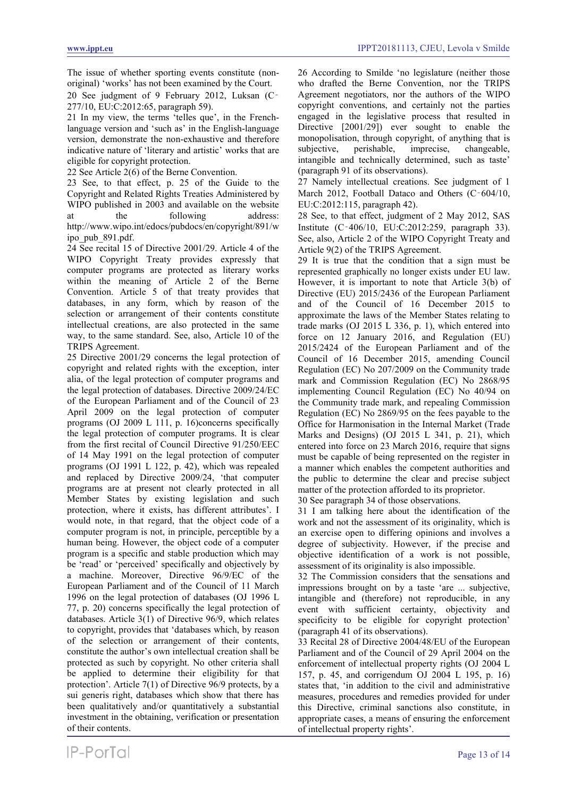The issue of whether sporting events constitute (nonoriginal) 'works' has not been examined by the Court.

20 See judgment of 9 February 2012, Luksan (C‑ 277/10, EU:C:2012:65, paragraph 59).

21 In my view, the terms 'telles que', in the Frenchlanguage version and 'such as' in the English-language version, demonstrate the non-exhaustive and therefore indicative nature of 'literary and artistic' works that are eligible for copyright protection.

22 See Article 2(6) of the Berne Convention.

23 See, to that effect, p. 25 of the Guide to the Copyright and Related Rights Treaties Administered by WIPO published in 2003 and available on the website at the following address: http://www.wipo.int/edocs/pubdocs/en/copyright/891/w ipo\_pub\_891.pdf.

24 See recital 15 of Directive 2001/29. Article 4 of the WIPO Copyright Treaty provides expressly that computer programs are protected as literary works within the meaning of Article 2 of the Berne Convention. Article 5 of that treaty provides that databases, in any form, which by reason of the selection or arrangement of their contents constitute intellectual creations, are also protected in the same way, to the same standard. See, also, Article 10 of the TRIPS Agreement.

25 Directive 2001/29 concerns the legal protection of copyright and related rights with the exception, inter alia, of the legal protection of computer programs and the legal protection of databases. Directive 2009/24/EC of the European Parliament and of the Council of 23 April 2009 on the legal protection of computer programs (OJ 2009 L 111, p. 16)concerns specifically the legal protection of computer programs. It is clear from the first recital of Council Directive 91/250/EEC of 14 May 1991 on the legal protection of computer programs (OJ 1991 L 122, p. 42), which was repealed and replaced by Directive 2009/24, 'that computer programs are at present not clearly protected in all Member States by existing legislation and such protection, where it exists, has different attributes'. I would note, in that regard, that the object code of a computer program is not, in principle, perceptible by a human being. However, the object code of a computer program is a specific and stable production which may be 'read' or 'perceived' specifically and objectively by a machine. Moreover, Directive 96/9/EC of the European Parliament and of the Council of 11 March 1996 on the legal protection of databases (OJ 1996 L 77, p. 20) concerns specifically the legal protection of databases. Article 3(1) of Directive 96/9, which relates to copyright, provides that 'databases which, by reason of the selection or arrangement of their contents, constitute the author's own intellectual creation shall be protected as such by copyright. No other criteria shall be applied to determine their eligibility for that protection'. Article 7(1) of Directive 96/9 protects, by a sui generis right, databases which show that there has been qualitatively and/or quantitatively a substantial investment in the obtaining, verification or presentation of their contents.

26 According to Smilde 'no legislature (neither those who drafted the Berne Convention, nor the TRIPS Agreement negotiators, nor the authors of the WIPO copyright conventions, and certainly not the parties engaged in the legislative process that resulted in Directive [2001/29]) ever sought to enable the monopolisation, through copyright, of anything that is subjective, perishable, imprecise, changeable, intangible and technically determined, such as taste' (paragraph 91 of its observations).

27 Namely intellectual creations. See judgment of 1 March 2012, Football Dataco and Others (C-604/10, EU:C:2012:115, paragraph 42).

28 See, to that effect, judgment of 2 May 2012, SAS Institute (C‑406/10, EU:C:2012:259, paragraph 33). See, also, Article 2 of the WIPO Copyright Treaty and Article 9(2) of the TRIPS Agreement.

29 It is true that the condition that a sign must be represented graphically no longer exists under EU law. However, it is important to note that Article 3(b) of Directive (EU) 2015/2436 of the European Parliament and of the Council of 16 December 2015 to approximate the laws of the Member States relating to trade marks (OJ 2015 L 336, p. 1), which entered into force on 12 January 2016, and Regulation (EU) 2015/2424 of the European Parliament and of the Council of 16 December 2015, amending Council Regulation (EC) No 207/2009 on the Community trade mark and Commission Regulation (EC) No 2868/95 implementing Council Regulation (EC) No 40/94 on the Community trade mark, and repealing Commission Regulation (EC) No 2869/95 on the fees payable to the Office for Harmonisation in the Internal Market (Trade Marks and Designs) (OJ 2015 L 341, p. 21), which entered into force on 23 March 2016, require that signs must be capable of being represented on the register in a manner which enables the competent authorities and the public to determine the clear and precise subject matter of the protection afforded to its proprietor.

30 See paragraph 34 of those observations.

31 I am talking here about the identification of the work and not the assessment of its originality, which is an exercise open to differing opinions and involves a degree of subjectivity. However, if the precise and objective identification of a work is not possible, assessment of its originality is also impossible.

32 The Commission considers that the sensations and impressions brought on by a taste 'are ... subjective, intangible and (therefore) not reproducible, in any event with sufficient certainty, objectivity and specificity to be eligible for copyright protection' (paragraph 41 of its observations).

33 Recital 28 of Directive 2004/48/EU of the European Parliament and of the Council of 29 April 2004 on the enforcement of intellectual property rights (OJ 2004 L 157, p. 45, and corrigendum OJ 2004 L 195, p. 16) states that, 'in addition to the civil and administrative measures, procedures and remedies provided for under this Directive, criminal sanctions also constitute, in appropriate cases, a means of ensuring the enforcement of intellectual property rights'.